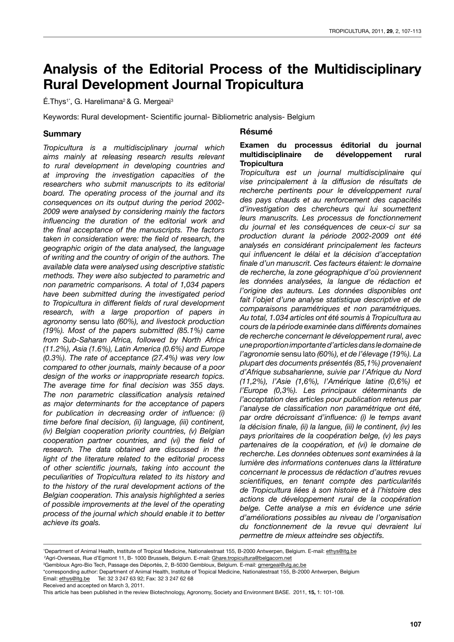# **Analysis of the Editorial Process of the Multidisciplinary Rural Development Journal Tropicultura**

 $É.$ Thys<sup>1\*</sup>, G. Harelimana<sup>2</sup> & G. Mergeai<sup>3</sup>

Keywords: Rural development- Scientific journal- Bibliometric analysis- Belgium

## **Summary**

*Tropicultura is a multidisciplinary journal which aims mainly at releasing research results relevant to rural development in developing countries and at improving the investigation capacities of the researchers who submit manuscripts to its editorial board. The operating process of the journal and its consequences on its output during the period 2002- 2009 were analysed by considering mainly the factors influencing the duration of the editorial work and the final acceptance of the manuscripts. The factors taken in consideration were: the field of research, the geographic origin of the data analysed, the language of writing and the country of origin of the authors. The available data were analysed using descriptive statistic methods. They were also subjected to parametric and non parametric comparisons. A total of 1,034 papers have been submitted during the investigated period to Tropicultura in different fields of rural development research, with a large proportion of papers in agronomy* sensu lato *(60%), and livestock production (19%). Most of the papers submitted (85.1%) came from Sub-Saharan Africa, followed by North Africa (11.2%), Asia (1.6%), Latin America (0.6%) and Europe (0.3%). The rate of acceptance (27.4%) was very low compared to other journals, mainly because of a poor design of the works or inappropriate research topics. The average time for final decision was 355 days. The non parametric classification analysis retained as major determinants for the acceptance of papers for publication in decreasing order of influence: (i) time before final decision, (ii) language, (iii) continent, (iv) Belgian cooperation priority countries, (v) Belgian cooperation partner countries, and (vi) the field of research. The data obtained are discussed in the light of the literature related to the editorial process of other scientific journals, taking into account the peculiarities of Tropicultura related to its history and to the history of the rural development actions of the Belgian cooperation. This analysis highlighted a series of possible improvements at the level of the operating process of the journal which should enable it to better achieve its goals.*

## **Résumé**

## **Examen du processus éditorial du journal multidisciplinaire de développement rural Tropicultura**

*Tropicultura est un journal multidisciplinaire qui vise principalement à la diffusion de résultats de recherche pertinents pour le développement rural des pays chauds et au renforcement des capacités d'investigation des chercheurs qui lui soumettent leurs manuscrits. Les processus de fonctionnement du journal et les conséquences de ceux-ci sur sa production durant la période 2002-2009 ont été analysés en considérant principalement les facteurs qui influencent le délai et la décision d'acceptation finale d'un manuscrit. Ces facteurs étaient: le domaine de recherche, la zone géographique d'où proviennent les données analysées, la langue de rédaction et l'origine des auteurs. Les données disponibles ont fait l'objet d'une analyse statistique descriptive et de comparaisons paramétriques et non paramétriques. Au total, 1.034 articles ont été soumis à Tropicultura au cours de la période examinée dans différents domaines de recherche concernant le développement rural, avec une proportion importante d'articles dans le domaine de l'agronomie* sensu lato *(60%), et de l'élevage (19%). La plupart des documents présentés (85,1%) provenaient d'Afrique subsaharienne, suivie par l'Afrique du Nord (11,2%), l'Asie (1,6%), l'Amérique latine (0,6%) et l'Europe (0,3%). Les principaux déterminants de l'acceptation des articles pour publication retenus par l'analyse de classification non paramétrique ont été, par ordre décroissant d'influence: (i) le temps avant la décision finale, (ii) la langue, (iii) le continent, (iv) les pays prioritaires de la coopération belge, (v) les pays partenaires de la coopération, et (vi) le domaine de recherche. Les données obtenues sont examinées à la lumière des informations contenues dans la littérature concernant le processus de rédaction d'autres revues scientifiques, en tenant compte des particularités de Tropicultura liées à son histoire et à l'histoire des actions de développement rural de la coopération belge. Cette analyse a mis en évidence une série d'améliorations possibles au niveau de l'organisation du fonctionnement de la revue qui devraient lui permettre de mieux atteindre ses objectifs.*

<sup>&</sup>lt;sup>1</sup>Department of Animal Health, Institute of Tropical Medicine, Nationalestraat 155, B-2000 Antwerpen, Belgium. E-mail: ethys@itg.be <sup>2</sup>Agri-Overseas, Rue d'Egmont 11, B- 1000 Brussels, Belgium. E-mail: <u>Ghare.tropicultura@belgacom.net</u>

<sup>&</sup>lt;sup>3</sup>Gembloux Agro-Bio Tech, Passage des Déportés, 2, B-5030 Gembloux, Belgium. E-mail: <u>gmergeai@ulg.ac.be</u>

<sup>\*</sup>corresponding author: Department of Animal Health, Institute of Tropical Medicine, Nationalestraat 155, B-2000 Antwerpen, Belgium

Email: ethys@itg.be Tel: 32 3 247 63 92; Fax: 32 3 247 62 68 Received and accepted on March 3, 2011.

This article has been published in the review Biotechnology, Agronomy, Society and Environment BASE. 2011, **15,** 1: 101-108.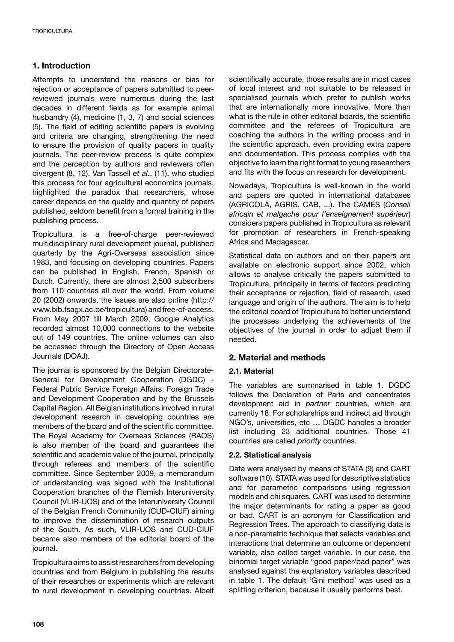# **1. Introduction**

Attempts to understand the reasons or bias for rejection or acceptance of papers submitted to peerreviewed journals were numerous during the last decades in different fields as for example animal husbandry (4), medicine (1, 3, 7) and social sciences (5). The field of editing scientific papers is evolving and criteria are changing, strengthening the need to ensure the provision of quality papers in quality journals. The peer-review process is quite complex and the perception by authors and reviewers often divergent (8, 12). Van Tassell *et al.*, (11), who studied this process for four agricultural economics journals, highlighted the paradox that researchers, whose career depends on the quality and quantity of papers published, seldom benefit from a formal training in the publishing process.

Tropicultura is a free-of-charge peer-reviewed multidisciplinary rural development journal, published quarterly by the Agri-Overseas association since 1983, and focusing on developing countries. Papers can be published in English, French, Spanish or Dutch. Currently, there are almost 2,500 subscribers from 110 countries all over the world. From volume 20 (2002) onwards, the issues are also online (http:// www.bib.fsagx.ac.be/tropicultura) and free-of-access. From May 2007 till March 2009, Google Analytics recorded almost 10,000 connections to the website out of 149 countries. The online volumes can also be accessed through the Directory of Open Access Journals (DOAJ).

The journal is sponsored by the Belgian Directorate-General for Development Cooperation (DGDC) - Federal Public Service Foreign Affairs, Foreign Trade and Development Cooperation and by the Brussels Capital Region. All Belgian institutions involved in rural development research in developing countries are members of the board and of the scientific committee. The Royal Academy for Overseas Sciences (RAOS) is also member of the board and guarantees the scientific and academic value of the journal, principally through referees and members of the scientific committee. Since September 2009, a memorandum of understanding was signed with the Institutional Cooperation branches of the Flemish Interuniversity Council (VLIR-UOS) and of the Interuniversity Council of the Belgian French Community (CUD-CIUF) aiming to improve the dissemination of research outputs of the South. As such, VLIR-UOS and CUD-CIUF became also members of the editorial board of the journal.

Tropicultura aims to assist researchers from developing countries and from Belgium in publishing the results of their researches or experiments which are relevant to rural development in developing countries. Albeit scientifically accurate, those results are in most cases of local interest and not suitable to be released in specialised journals which prefer to publish works that are internationally more innovative. More than what is the rule in other editorial boards, the scientific committee and the referees of Tropicultura are coaching the authors in the writing process and in the scientific approach, even providing extra papers and documentation. This process complies with the objective to learn the right format to young researchers and fits with the focus on research for development.

Nowadays, Tropicultura is well-known in the world and papers are quoted in international databases (AGRICOLA, AGRIS, CAB, ...). The CAMES (*Conseil africain et malgache pour l'enseignement supérieur*) considers papers published in Tropicultura as relevant for promotion of researchers in French-speaking Africa and Madagascar.

Statistical data on authors and on their papers are available on electronic support since 2002, which allows to analyse critically the papers submitted to Tropicultura, principally in terms of factors predicting their acceptance or rejection, field of research, used language and origin of the authors. The aim is to help the editorial board of Tropicultura to better understand the processes underlying the achievements of the objectives of the journal in order to adjust them if needed.

# **2. Material and methods**

## **2.1. Material**

The variables are summarised in table 1. DGDC follows the Declaration of Paris and concentrates development aid in *partner* countries, which are currently 18. For scholarships and indirect aid through NGO's, universities, etc … DGDC handles a broader list including 23 additional countries. Those 41 countries are called *priority* countries.

## **2.2. Statistical analysis**

Data were analysed by means of STATA (9) and CART software (10). STATA was used for descriptive statistics and for parametric comparisons using regression models and chi squares. CART was used to determine the major determinants for rating a paper as good or bad. CART is an acronym for Classification and Regression Trees. The approach to classifying data is a non-parametric technique that selects variables and interactions that determine an outcome or dependent variable, also called target variable. In our case, the binomial target variable "good paper/bad paper" was analysed against the explanatory variables described in table 1. The default 'Gini method' was used as a splitting criterion, because it usually performs best.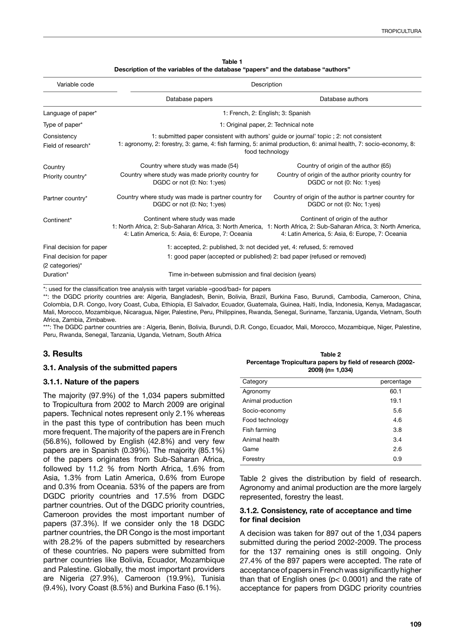| Table 1                                                                          |
|----------------------------------------------------------------------------------|
| Description of the variables of the database "papers" and the database "authors" |

| Variable code                                                                      |                                                                                                                                                                                                                                                                                                    | Description                                                                                                                |  |
|------------------------------------------------------------------------------------|----------------------------------------------------------------------------------------------------------------------------------------------------------------------------------------------------------------------------------------------------------------------------------------------------|----------------------------------------------------------------------------------------------------------------------------|--|
|                                                                                    | Database papers                                                                                                                                                                                                                                                                                    | Database authors                                                                                                           |  |
| Language of paper*                                                                 | 1: French, 2: English; 3: Spanish                                                                                                                                                                                                                                                                  |                                                                                                                            |  |
| Type of paper*                                                                     | 1: Original paper, 2: Technical note                                                                                                                                                                                                                                                               |                                                                                                                            |  |
| Consistency<br>Field of research*                                                  | 1: submitted paper consistent with authors' guide or journal' topic; 2: not consistent<br>1: agronomy, 2: forestry, 3: game, 4: fish farming, 5: animal production, 6: animal health, 7: socio-economy, 8:<br>food technology                                                                      |                                                                                                                            |  |
| Country<br>Priority country*                                                       | Country where study was made (54)<br>Country where study was made priority country for<br>DGDC or not (0: No: 1:yes)                                                                                                                                                                               | Country of origin of the author (65)<br>Country of origin of the author priority country for<br>DGDC or not (0: No: 1:yes) |  |
| Partner country*                                                                   | Country where study was made is partner country for<br>DGDC or not (0: No; 1:yes)                                                                                                                                                                                                                  | Country of origin of the author is partner country for<br>DGDC or not (0: No; 1:yes)                                       |  |
| Continent*                                                                         | Continent where study was made<br>Continent of origin of the author<br>1: North Africa, 2: Sub-Saharan Africa, 3: North America, 1: North Africa, 2: Sub-Saharan Africa, 3: North America,<br>4: Latin America, 5: Asia, 6: Europe, 7: Oceania<br>4: Latin America, 5: Asia, 6: Europe, 7: Oceania |                                                                                                                            |  |
| Final decision for paper<br>Final decision for paper<br>$(2 \text{ categories})^*$ | 1: accepted, 2: published, 3: not decided yet, 4: refused, 5: removed<br>1: good paper (accepted or published) 2: bad paper (refused or removed)                                                                                                                                                   |                                                                                                                            |  |
| Duration*                                                                          | Time in-between submission and final decision (years)                                                                                                                                                                                                                                              |                                                                                                                            |  |

\*: used for the classification tree analysis with target variable «good/bad» for papers

\*\*: the DGDC priority countries are: Algeria, Bangladesh, Benin, Bolivia, Brazil, Burkina Faso, Burundi, Cambodia, Cameroon, China, Colombia, D.R. Congo, Ivory Coast, Cuba, Ethiopia, El Salvador, Ecuador, Guatemala, Guinea, Haiti, India, Indonesia, Kenya, Madagascar, Mali, Morocco, Mozambique, Nicaragua, Niger, Palestine, Peru, Philippines, Rwanda, Senegal, Suriname, Tanzania, Uganda, Vietnam, South Africa, Zambia, Zimbabwe.

\*\*\*: The DGDC partner countries are : Algeria, Benin, Bolivia, Burundi, D.R. Congo, Ecuador, Mali, Morocco, Mozambique, Niger, Palestine, Peru, Rwanda, Senegal, Tanzania, Uganda, Vietnam, South Africa

## **3. Results**

#### **3.1. Analysis of the submitted papers**

#### **3.1.1. Nature of the papers**

The majority (97.9%) of the 1,034 papers submitted to Tropicultura from 2002 to March 2009 are original papers. Technical notes represent only 2.1% whereas in the past this type of contribution has been much more frequent. The majority of the papers are in French (56.8%), followed by English (42.8%) and very few papers are in Spanish (0.39%). The majority (85.1%) of the papers originates from Sub-Saharan Africa, followed by 11.2 % from North Africa, 1.6% from Asia, 1.3% from Latin America, 0.6% from Europe and 0.3% from Oceania. 53% of the papers are from DGDC priority countries and 17.5% from DGDC partner countries. Out of the DGDC priority countries, Cameroon provides the most important number of papers (37.3%). If we consider only the 18 DGDC partner countries, the DR Congo is the most important with 28.2% of the papers submitted by researchers of these countries. No papers were submitted from partner countries like Bolivia, Ecuador, Mozambique and Palestine. Globally, the most important providers are Nigeria (27.9%), Cameroon (19.9%), Tunisia (9.4%), Ivory Coast (8.5%) and Burkina Faso (6.1%).

| Table 2                                                    |
|------------------------------------------------------------|
| Percentage Tropicultura papers by field of research (2002- |
| $2009$ ) (n= 1,034)                                        |

| Category          | percentage |
|-------------------|------------|
| Agronomy          | 60.1       |
| Animal production | 19.1       |
| Socio-economy     | 5.6        |
| Food technology   | 4.6        |
| Fish farming      | 3.8        |
| Animal health     | 3.4        |
| Game              | 2.6        |
| Forestry          | 0.9        |

Table 2 gives the distribution by field of research. Agronomy and animal production are the more largely represented, forestry the least.

#### **3.1.2. Consistency, rate of acceptance and time for final decision**

A decision was taken for 897 out of the 1,034 papers submitted during the period 2002-2009. The process for the 137 remaining ones is still ongoing. Only 27.4% of the 897 papers were accepted. The rate of acceptance of papers in French was significantly higher than that of English ones ( $p$ < 0.0001) and the rate of acceptance for papers from DGDC priority countries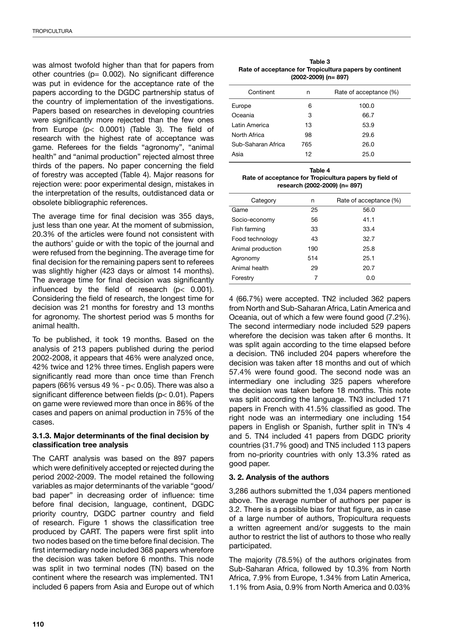was almost twofold higher than that for papers from other countries ( $p= 0.002$ ). No significant difference was put in evidence for the acceptance rate of the papers according to the DGDC partnership status of the country of implementation of the investigations. Papers based on researches in developing countries were significantly more rejected than the few ones from Europe (p< 0.0001) (Table 3). The field of research with the highest rate of acceptance was game. Referees for the fields "agronomy", "animal health" and "animal production" rejected almost three thirds of the papers. No paper concerning the field of forestry was accepted (Table 4). Major reasons for rejection were: poor experimental design, mistakes in the interpretation of the results, outdistanced data or obsolete bibliographic references.

The average time for final decision was 355 days, just less than one year. At the moment of submission, 20.3% of the articles were found not consistent with the authors' guide or with the topic of the journal and were refused from the beginning. The average time for final decision for the remaining papers sent to referees was slightly higher (423 days or almost 14 months). The average time for final decision was significantly influenced by the field of research (p< 0.001). Considering the field of research, the longest time for decision was 21 months for forestry and 13 months for agronomy. The shortest period was 5 months for animal health.

To be published, it took 19 months. Based on the analysis of 213 papers published during the period 2002-2008, it appears that 46% were analyzed once, 42% twice and 12% three times. English papers were significantly read more than once time than French papers (66% versus 49 % -  $p$  < 0.05). There was also a significant difference between fields (p< 0.01). Papers on game were reviewed more than once in 86% of the cases and papers on animal production in 75% of the cases.

## **3.1.3. Major determinants of the final decision by classification tree analysis**

The CART analysis was based on the 897 papers which were definitively accepted or rejected during the period 2002-2009. The model retained the following variables as major determinants of the variable "good/ bad paper" in decreasing order of influence: time before final decision, language, continent, DGDC priority country, DGDC partner country and field of research. Figure 1 shows the classification tree produced by CART. The papers were first split into two nodes based on the time before final decision. The first intermediary node included 368 papers wherefore the decision was taken before 6 months. This node was split in two terminal nodes (TN) based on the continent where the research was implemented. TN1 included 6 papers from Asia and Europe out of which

**Table 3 Rate of acceptance for Tropicultura papers by continent (2002-2009) (n= 897)**

| Continent          | n   | Rate of acceptance (%) |
|--------------------|-----|------------------------|
| Europe             | 6   | 100.0                  |
| Oceania            | 3   | 66.7                   |
| Latin America      | 13  | 53.9                   |
| North Africa       | 98  | 29.6                   |
| Sub-Saharan Africa | 765 | 26.0                   |
| Asia               | 12  | 25.0                   |
|                    |     |                        |

| Table 4                                                |  |  |
|--------------------------------------------------------|--|--|
| Rate of acceptance for Tropicultura papers by field of |  |  |
| research (2002-2009) (n= 897)                          |  |  |

| Category          | n   | Rate of acceptance (%) |
|-------------------|-----|------------------------|
| Game              | 25  | 56.0                   |
| Socio-economy     | 56  | 41.1                   |
| Fish farming      | 33  | 33.4                   |
| Food technology   | 43  | 32.7                   |
| Animal production | 190 | 25.8                   |
| Agronomy          | 514 | 25.1                   |
| Animal health     | 29  | 20.7                   |
| Forestry          | 7   | 0.0                    |

4 (66.7%) were accepted. TN2 included 362 papers from North and Sub-Saharan Africa, Latin America and Oceania, out of which a few were found good (7.2%). The second intermediary node included 529 papers wherefore the decision was taken after 6 months. It was split again according to the time elapsed before a decision. TN6 included 204 papers wherefore the decision was taken after 18 months and out of which 57.4% were found good. The second node was an intermediary one including 325 papers wherefore the decision was taken before 18 months. This note was split according the language. TN3 included 171 papers in French with 41.5% classified as good. The right node was an intermediary one including 154 papers in English or Spanish, further split in TN's 4 and 5. TN4 included 41 papers from DGDC priority countries (31.7% good) and TN5 included 113 papers from no-priority countries with only 13.3% rated as good paper.

## **3. 2. Analysis of the authors**

3,286 authors submitted the 1,034 papers mentioned above. The average number of authors per paper is 3.2. There is a possible bias for that figure, as in case of a large number of authors, Tropicultura requests a written agreement and/or suggests to the main author to restrict the list of authors to those who really participated.

The majority (78.5%) of the authors originates from Sub-Saharan Africa, followed by 10.3% from North Africa, 7.9% from Europe, 1.34% from Latin America, 1.1% from Asia, 0.9% from North America and 0.03%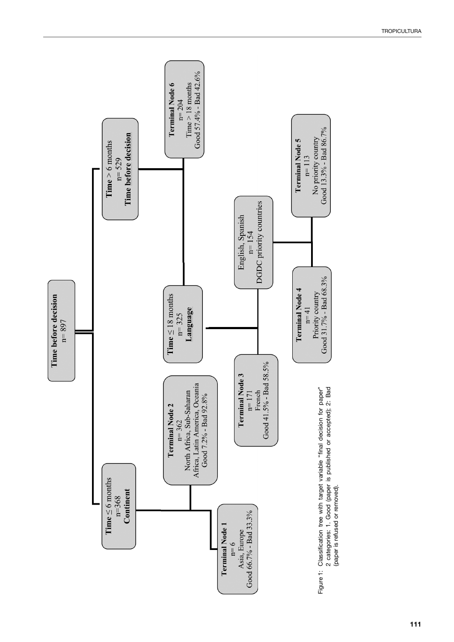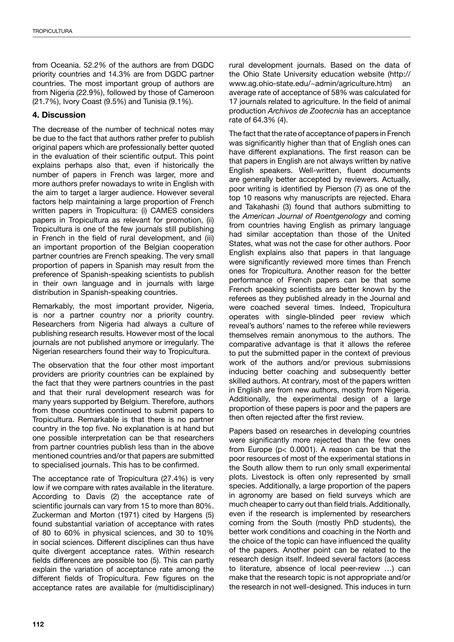from Oceania. 52.2% of the authors are from DGDC priority countries and 14.3% are from DGDC partner countries. The most important group of authors are from Nigeria (22.9%), followed by those of Cameroon (21.7%), Ivory Coast (9.5%) and Tunisia (9.1%).

## **4. Discussion**

The decrease of the number of technical notes may be due to the fact that authors rather prefer to publish original papers which are professionally better quoted in the evaluation of their scientific output. This point explains perhaps also that, even if historically the number of papers in French was larger, more and more authors prefer nowadays to write in English with the aim to target a larger audience. However several factors help maintaining a large proportion of French written papers in Tropicultura: (i) CAMES considers papers in Tropicultura as relevant for promotion, (ii) Tropicultura is one of the few journals still publishing in French in the field of rural development, and (iii) an important proportion of the Belgian cooperation partner countries are French speaking. The very small proportion of papers in Spanish may result from the preference of Spanish-speaking scientists to publish in their own language and in journals with large distribution in Spanish-speaking countries.

Remarkably, the most important provider, Nigeria, is nor a partner country nor a priority country. Researchers from Nigeria had always a culture of publishing research results. However most of the local journals are not published anymore or irregularly. The Nigerian researchers found their way to Tropicultura.

The observation that the four other most important providers are priority countries can be explained by the fact that they were partners countries in the past and that their rural development research was for many years supported by Belgium. Therefore, authors from those countries continued to submit papers to Tropicultura. Remarkable is that there is no partner country in the top five. No explanation is at hand but one possible interpretation can be that researchers from partner countries publish less than in the above mentioned countries and/or that papers are submitted to specialised journals. This has to be confirmed.

The acceptance rate of Tropicultura (27.4%) is very low if we compare with rates available in the literature. According to Davis (2) the acceptance rate of scientific journals can vary from 15 to more than 80%. Zuckerman and Morton (1971) cited by Hargens (5) found substantial variation of acceptance with rates of 80 to 60% in physical sciences, and 30 to 10% in social sciences. Different disciplines can thus have quite divergent acceptance rates. Within research fields differences are possible too (5). This can partly explain the variation of acceptance rate among the different fields of Tropicultura. Few figures on the acceptance rates are available for (multidisciplinary) rural development journals. Based on the data of the Ohio State University education website (http:// www.ag.ohio-state.edu/~admin/agriculture.htm) an average rate of acceptance of 58% was calculated for 17 journals related to agriculture. In the field of animal production *Archivos de Zootecnia* has an acceptance rate of 64.3% (4).

The fact that the rate of acceptance of papers in French was significantly higher than that of English ones can have different explanations. The first reason can be that papers in English are not always written by native English speakers. Well-written, fluent documents are generally better accepted by reviewers. Actually, poor writing is identified by Pierson (7) as one of the top 10 reasons why manuscripts are rejected. Ehara and Takahashi (3) found that authors submitting to the *American Journal of Roentgenology* and coming from countries having English as primary language had similar acceptation than those of the United States, what was not the case for other authors. Poor English explains also that papers in that language were significantly reviewed more times than French ones for Tropicultura. Another reason for the better performance of French papers can be that some French speaking scientists are better known by the referees as they published already in the Journal and were coached several times. Indeed, Tropicultura operates with single-blinded peer review which reveal's authors' names to the referee while reviewers themselves remain anonymous to the authors. The comparative advantage is that it allows the referee to put the submitted paper in the context of previous work of the authors and/or previous submissions inducing better coaching and subsequently better skilled authors. At contrary, most of the papers written in English are from new authors, mostly from Nigeria. Additionally, the experimental design of a large proportion of these papers is poor and the papers are then often rejected after the first review.

Papers based on researches in developing countries were significantly more rejected than the few ones from Europe (p< 0.0001). A reason can be that the poor resources of most of the experimental stations in the South allow them to run only small experimental plots. Livestock is often only represented by small species. Additionally, a large proportion of the papers in agronomy are based on field surveys which are much cheaper to carry out than field trials. Additionally, even if the research is implemented by researchers coming from the South (mostly PhD students), the better work conditions and coaching in the North and the choice of the topic can have influenced the quality of the papers. Another point can be related to the research design itself. Indeed several factors (access to literature, absence of local peer-review …) can make that the research topic is not appropriate and/or the research in not well-designed. This induces in turn